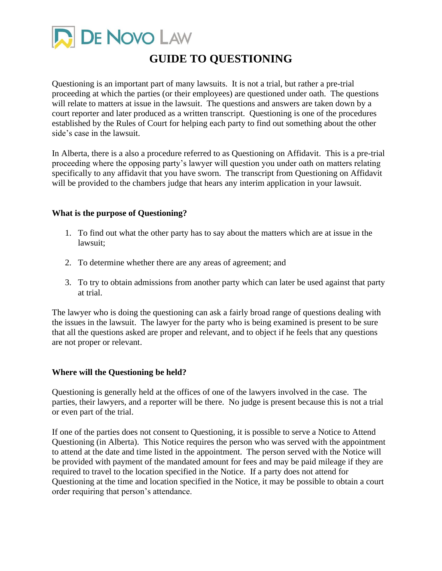

# **GUIDE TO QUESTIONING**

Questioning is an important part of many lawsuits. It is not a trial, but rather a pre-trial proceeding at which the parties (or their employees) are questioned under oath. The questions will relate to matters at issue in the lawsuit. The questions and answers are taken down by a court reporter and later produced as a written transcript. Questioning is one of the procedures established by the Rules of Court for helping each party to find out something about the other side's case in the lawsuit.

In Alberta, there is a also a procedure referred to as Questioning on Affidavit. This is a pre-trial proceeding where the opposing party's lawyer will question you under oath on matters relating specifically to any affidavit that you have sworn. The transcript from Questioning on Affidavit will be provided to the chambers judge that hears any interim application in your lawsuit.

# **What is the purpose of Questioning?**

- 1. To find out what the other party has to say about the matters which are at issue in the lawsuit;
- 2. To determine whether there are any areas of agreement; and
- 3. To try to obtain admissions from another party which can later be used against that party at trial.

The lawyer who is doing the questioning can ask a fairly broad range of questions dealing with the issues in the lawsuit. The lawyer for the party who is being examined is present to be sure that all the questions asked are proper and relevant, and to object if he feels that any questions are not proper or relevant.

#### **Where will the Questioning be held?**

Questioning is generally held at the offices of one of the lawyers involved in the case. The parties, their lawyers, and a reporter will be there. No judge is present because this is not a trial or even part of the trial.

If one of the parties does not consent to Questioning, it is possible to serve a Notice to Attend Questioning (in Alberta). This Notice requires the person who was served with the appointment to attend at the date and time listed in the appointment. The person served with the Notice will be provided with payment of the mandated amount for fees and may be paid mileage if they are required to travel to the location specified in the Notice. If a party does not attend for Questioning at the time and location specified in the Notice, it may be possible to obtain a court order requiring that person's attendance.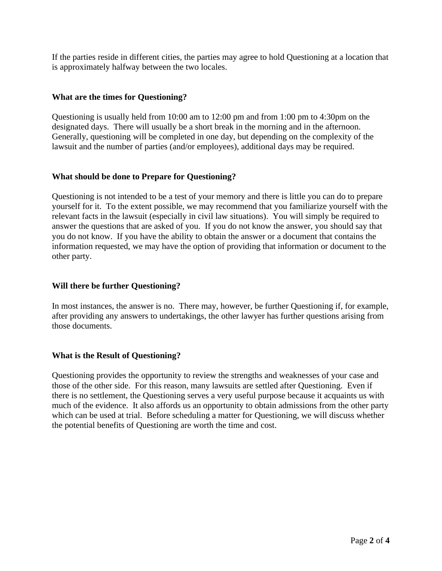If the parties reside in different cities, the parties may agree to hold Questioning at a location that is approximately halfway between the two locales.

# **What are the times for Questioning?**

Questioning is usually held from 10:00 am to 12:00 pm and from 1:00 pm to 4:30pm on the designated days. There will usually be a short break in the morning and in the afternoon. Generally, questioning will be completed in one day, but depending on the complexity of the lawsuit and the number of parties (and/or employees), additional days may be required.

# **What should be done to Prepare for Questioning?**

Questioning is not intended to be a test of your memory and there is little you can do to prepare yourself for it. To the extent possible, we may recommend that you familiarize yourself with the relevant facts in the lawsuit (especially in civil law situations). You will simply be required to answer the questions that are asked of you. If you do not know the answer, you should say that you do not know. If you have the ability to obtain the answer or a document that contains the information requested, we may have the option of providing that information or document to the other party.

#### **Will there be further Questioning?**

In most instances, the answer is no. There may, however, be further Questioning if, for example, after providing any answers to undertakings, the other lawyer has further questions arising from those documents.

#### **What is the Result of Questioning?**

Questioning provides the opportunity to review the strengths and weaknesses of your case and those of the other side. For this reason, many lawsuits are settled after Questioning. Even if there is no settlement, the Questioning serves a very useful purpose because it acquaints us with much of the evidence. It also affords us an opportunity to obtain admissions from the other party which can be used at trial. Before scheduling a matter for Questioning, we will discuss whether the potential benefits of Questioning are worth the time and cost.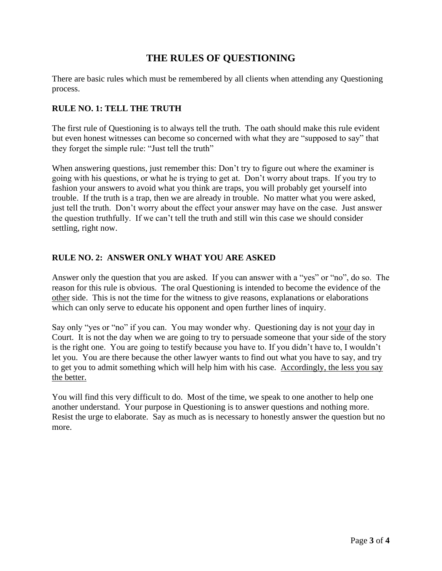# **THE RULES OF QUESTIONING**

There are basic rules which must be remembered by all clients when attending any Questioning process.

# **RULE NO. 1: TELL THE TRUTH**

The first rule of Questioning is to always tell the truth. The oath should make this rule evident but even honest witnesses can become so concerned with what they are "supposed to say" that they forget the simple rule: "Just tell the truth"

When answering questions, just remember this: Don't try to figure out where the examiner is going with his questions, or what he is trying to get at. Don't worry about traps. If you try to fashion your answers to avoid what you think are traps, you will probably get yourself into trouble. If the truth is a trap, then we are already in trouble. No matter what you were asked, just tell the truth. Don't worry about the effect your answer may have on the case. Just answer the question truthfully. If we can't tell the truth and still win this case we should consider settling, right now.

# **RULE NO. 2: ANSWER ONLY WHAT YOU ARE ASKED**

Answer only the question that you are asked. If you can answer with a "yes" or "no", do so. The reason for this rule is obvious. The oral Questioning is intended to become the evidence of the other side. This is not the time for the witness to give reasons, explanations or elaborations which can only serve to educate his opponent and open further lines of inquiry.

Say only "yes or "no" if you can. You may wonder why. Questioning day is not your day in Court. It is not the day when we are going to try to persuade someone that your side of the story is the right one. You are going to testify because you have to. If you didn't have to, I wouldn't let you. You are there because the other lawyer wants to find out what you have to say, and try to get you to admit something which will help him with his case. Accordingly, the less you say the better.

You will find this very difficult to do. Most of the time, we speak to one another to help one another understand. Your purpose in Questioning is to answer questions and nothing more. Resist the urge to elaborate. Say as much as is necessary to honestly answer the question but no more.